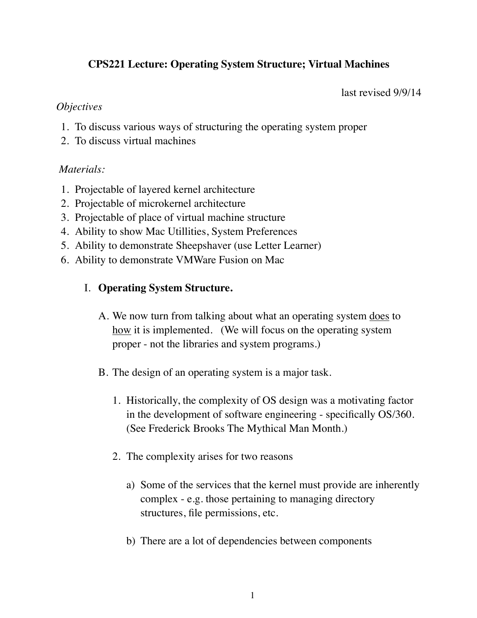# **CPS221 Lecture: Operating System Structure; Virtual Machines**

last revised 9/9/14

#### *Objectives*

- 1. To discuss various ways of structuring the operating system proper
- 2. To discuss virtual machines

## *Materials:*

- 1. Projectable of layered kernel architecture
- 2. Projectable of microkernel architecture
- 3. Projectable of place of virtual machine structure
- 4. Ability to show Mac Utillities, System Preferences
- 5. Ability to demonstrate Sheepshaver (use Letter Learner)
- 6. Ability to demonstrate VMWare Fusion on Mac

## I. **Operating System Structure.**

- A. We now turn from talking about what an operating system does to how it is implemented. (We will focus on the operating system proper - not the libraries and system programs.)
- B. The design of an operating system is a major task.
	- 1. Historically, the complexity of OS design was a motivating factor in the development of software engineering - specifically OS/360. (See Frederick Brooks The Mythical Man Month.)
	- 2. The complexity arises for two reasons
		- a) Some of the services that the kernel must provide are inherently complex - e.g. those pertaining to managing directory structures, file permissions, etc.
		- b) There are a lot of dependencies between components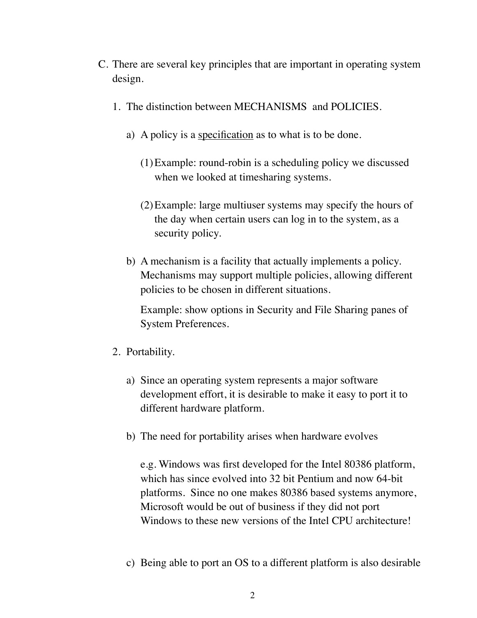- C. There are several key principles that are important in operating system design.
	- 1. The distinction between MECHANISMS and POLICIES.
		- a) A policy is a specification as to what is to be done.
			- (1)Example: round-robin is a scheduling policy we discussed when we looked at timesharing systems.
			- (2)Example: large multiuser systems may specify the hours of the day when certain users can log in to the system, as a security policy.
		- b) A mechanism is a facility that actually implements a policy. Mechanisms may support multiple policies, allowing different policies to be chosen in different situations.

Example: show options in Security and File Sharing panes of System Preferences.

- 2. Portability.
	- a) Since an operating system represents a major software development effort, it is desirable to make it easy to port it to different hardware platform.
	- b) The need for portability arises when hardware evolves

e.g. Windows was first developed for the Intel 80386 platform, which has since evolved into 32 bit Pentium and now 64-bit platforms. Since no one makes 80386 based systems anymore, Microsoft would be out of business if they did not port Windows to these new versions of the Intel CPU architecture!

c) Being able to port an OS to a different platform is also desirable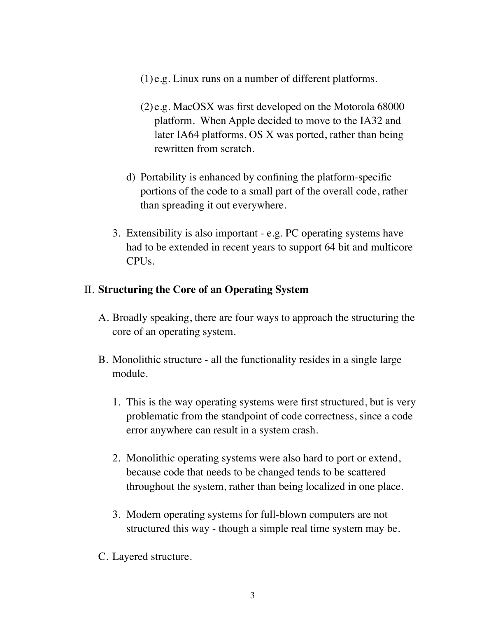- (1) e.g. Linux runs on a number of different platforms.
- (2) e.g. MacOSX was first developed on the Motorola 68000 platform. When Apple decided to move to the IA32 and later IA64 platforms, OS X was ported, rather than being rewritten from scratch.
- d) Portability is enhanced by confining the platform-specific portions of the code to a small part of the overall code, rather than spreading it out everywhere.
- 3. Extensibility is also important e.g. PC operating systems have had to be extended in recent years to support 64 bit and multicore CPUs.

## II. **Structuring the Core of an Operating System**

- A. Broadly speaking, there are four ways to approach the structuring the core of an operating system.
- B. Monolithic structure all the functionality resides in a single large module.
	- 1. This is the way operating systems were first structured, but is very problematic from the standpoint of code correctness, since a code error anywhere can result in a system crash.
	- 2. Monolithic operating systems were also hard to port or extend, because code that needs to be changed tends to be scattered throughout the system, rather than being localized in one place.
	- 3. Modern operating systems for full-blown computers are not structured this way - though a simple real time system may be.
- C. Layered structure.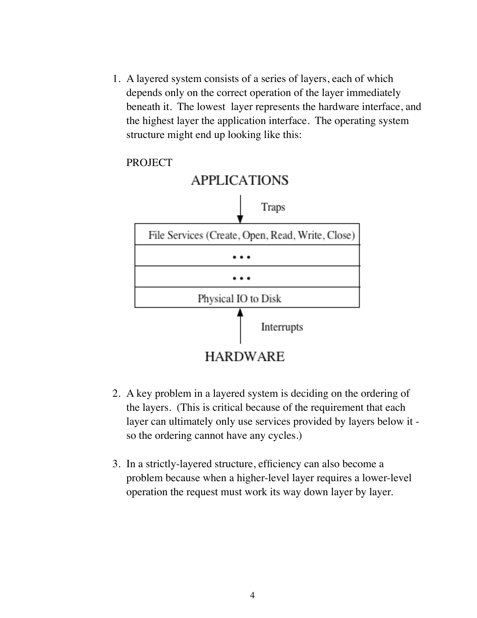1. A layered system consists of a series of layers, each of which depends only on the correct operation of the layer immediately beneath it. The lowest layer represents the hardware interface, and the highest layer the application interface. The operating system structure might end up looking like this:

PROJECT



- 2. A key problem in a layered system is deciding on the ordering of the layers. (This is critical because of the requirement that each layer can ultimately only use services provided by layers below it so the ordering cannot have any cycles.)
- 3. In a strictly-layered structure, efficiency can also become a problem because when a higher-level layer requires a lower-level operation the request must work its way down layer by layer.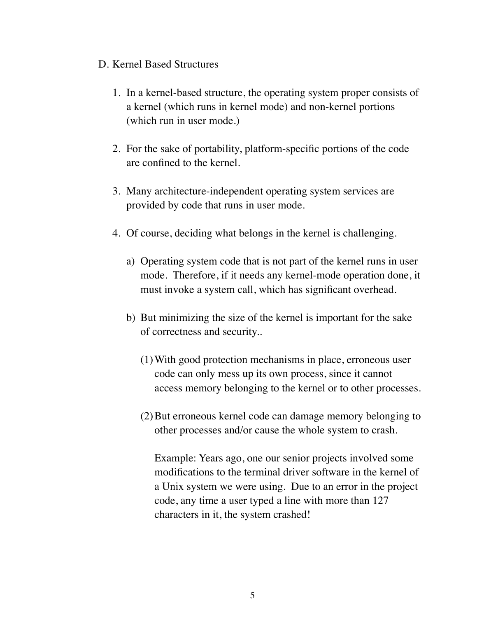### D. Kernel Based Structures

- 1. In a kernel-based structure, the operating system proper consists of a kernel (which runs in kernel mode) and non-kernel portions (which run in user mode.)
- 2. For the sake of portability, platform-specific portions of the code are confined to the kernel.
- 3. Many architecture-independent operating system services are provided by code that runs in user mode.
- 4. Of course, deciding what belongs in the kernel is challenging.
	- a) Operating system code that is not part of the kernel runs in user mode. Therefore, if it needs any kernel-mode operation done, it must invoke a system call, which has significant overhead.
	- b) But minimizing the size of the kernel is important for the sake of correctness and security..
		- (1)With good protection mechanisms in place, erroneous user code can only mess up its own process, since it cannot access memory belonging to the kernel or to other processes.
		- (2)But erroneous kernel code can damage memory belonging to other processes and/or cause the whole system to crash.

Example: Years ago, one our senior projects involved some modifications to the terminal driver software in the kernel of a Unix system we were using. Due to an error in the project code, any time a user typed a line with more than 127 characters in it, the system crashed!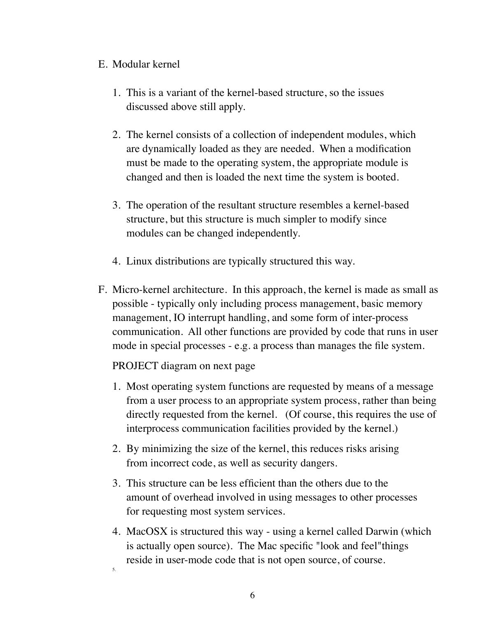## E. Modular kernel

- 1. This is a variant of the kernel-based structure, so the issues discussed above still apply.
- 2. The kernel consists of a collection of independent modules, which are dynamically loaded as they are needed. When a modification must be made to the operating system, the appropriate module is changed and then is loaded the next time the system is booted.
- 3. The operation of the resultant structure resembles a kernel-based structure, but this structure is much simpler to modify since modules can be changed independently.
- 4. Linux distributions are typically structured this way.
- F. Micro-kernel architecture. In this approach, the kernel is made as small as possible - typically only including process management, basic memory management, IO interrupt handling, and some form of inter-process communication. All other functions are provided by code that runs in user mode in special processes - e.g. a process than manages the file system.

PROJECT diagram on next page

- 1. Most operating system functions are requested by means of a message from a user process to an appropriate system process, rather than being directly requested from the kernel. (Of course, this requires the use of interprocess communication facilities provided by the kernel.)
- 2. By minimizing the size of the kernel, this reduces risks arising from incorrect code, as well as security dangers.
- 3. This structure can be less efficient than the others due to the amount of overhead involved in using messages to other processes for requesting most system services.
- 4. MacOSX is structured this way using a kernel called Darwin (which is actually open source). The Mac specific "look and feel"things reside in user-mode code that is not open source, of course. 5.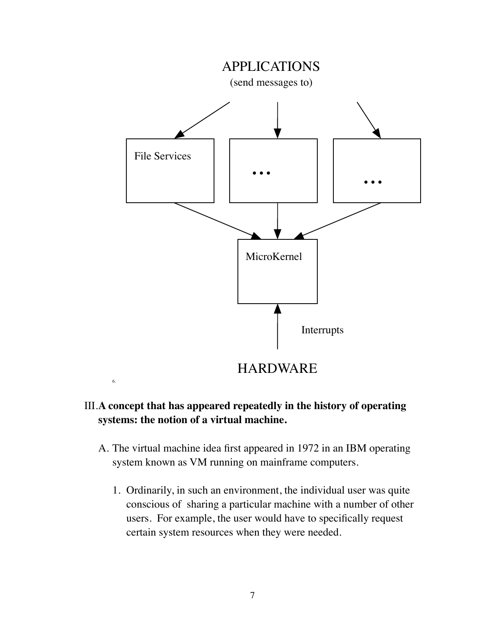

# III.**A concept that has appeared repeatedly in the history of operating systems: the notion of a virtual machine.**

- A. The virtual machine idea first appeared in 1972 in an IBM operating system known as VM running on mainframe computers.
	- 1. Ordinarily, in such an environment, the individual user was quite conscious of sharing a particular machine with a number of other users. For example, the user would have to specifically request certain system resources when they were needed.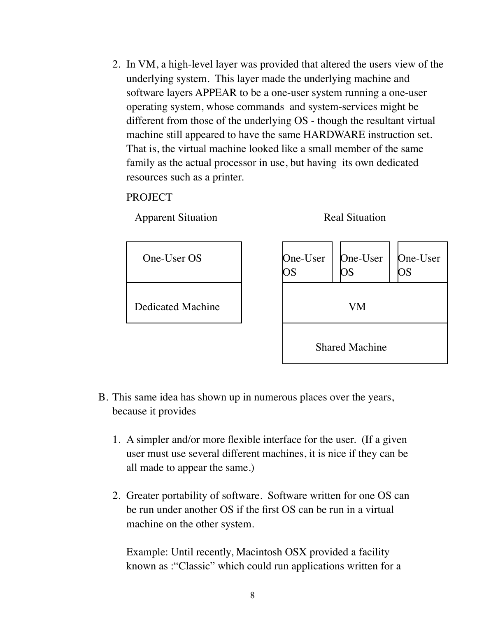2. In VM, a high-level layer was provided that altered the users view of the underlying system. This layer made the underlying machine and software layers APPEAR to be a one-user system running a one-user operating system, whose commands and system-services might be different from those of the underlying OS - though the resultant virtual machine still appeared to have the same HARDWARE instruction set. That is, the virtual machine looked like a small member of the same family as the actual processor in use, but having its own dedicated resources such as a printer.

### **PROJECT**

Apparent Situation Real Situation



- B. This same idea has shown up in numerous places over the years, because it provides
	- 1. A simpler and/or more flexible interface for the user. (If a given user must use several different machines, it is nice if they can be all made to appear the same.)
	- 2. Greater portability of software. Software written for one OS can be run under another OS if the first OS can be run in a virtual machine on the other system.

Example: Until recently, Macintosh OSX provided a facility known as :"Classic" which could run applications written for a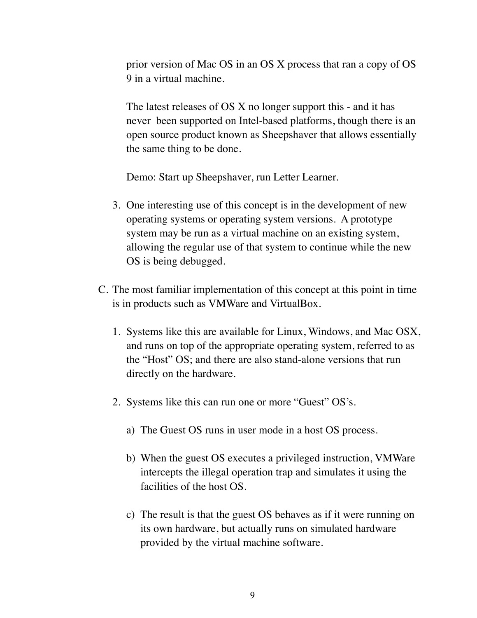prior version of Mac OS in an OS X process that ran a copy of OS 9 in a virtual machine.

The latest releases of OS X no longer support this - and it has never been supported on Intel-based platforms, though there is an open source product known as Sheepshaver that allows essentially the same thing to be done.

Demo: Start up Sheepshaver, run Letter Learner.

- 3. One interesting use of this concept is in the development of new operating systems or operating system versions. A prototype system may be run as a virtual machine on an existing system, allowing the regular use of that system to continue while the new OS is being debugged.
- C. The most familiar implementation of this concept at this point in time is in products such as VMWare and VirtualBox.
	- 1. Systems like this are available for Linux, Windows, and Mac OSX, and runs on top of the appropriate operating system, referred to as the "Host" OS; and there are also stand-alone versions that run directly on the hardware.
	- 2. Systems like this can run one or more "Guest" OS's.
		- a) The Guest OS runs in user mode in a host OS process.
		- b) When the guest OS executes a privileged instruction, VMWare intercepts the illegal operation trap and simulates it using the facilities of the host OS.
		- c) The result is that the guest OS behaves as if it were running on its own hardware, but actually runs on simulated hardware provided by the virtual machine software.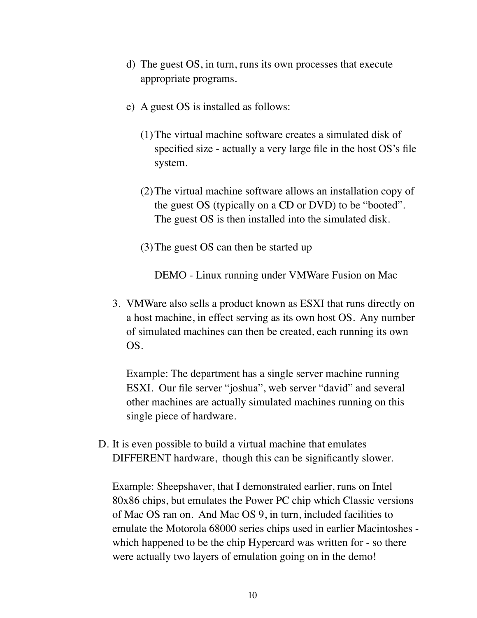- d) The guest OS, in turn, runs its own processes that execute appropriate programs.
- e) A guest OS is installed as follows:
	- (1)The virtual machine software creates a simulated disk of specified size - actually a very large file in the host OS's file system.
	- (2)The virtual machine software allows an installation copy of the guest OS (typically on a CD or DVD) to be "booted". The guest OS is then installed into the simulated disk.
	- (3)The guest OS can then be started up

DEMO - Linux running under VMWare Fusion on Mac

3. VMWare also sells a product known as ESXI that runs directly on a host machine, in effect serving as its own host OS. Any number of simulated machines can then be created, each running its own OS.

Example: The department has a single server machine running ESXI. Our file server "joshua", web server "david" and several other machines are actually simulated machines running on this single piece of hardware.

D. It is even possible to build a virtual machine that emulates DIFFERENT hardware, though this can be significantly slower.

Example: Sheepshaver, that I demonstrated earlier, runs on Intel 80x86 chips, but emulates the Power PC chip which Classic versions of Mac OS ran on. And Mac OS 9, in turn, included facilities to emulate the Motorola 68000 series chips used in earlier Macintoshes which happened to be the chip Hypercard was written for - so there were actually two layers of emulation going on in the demo!